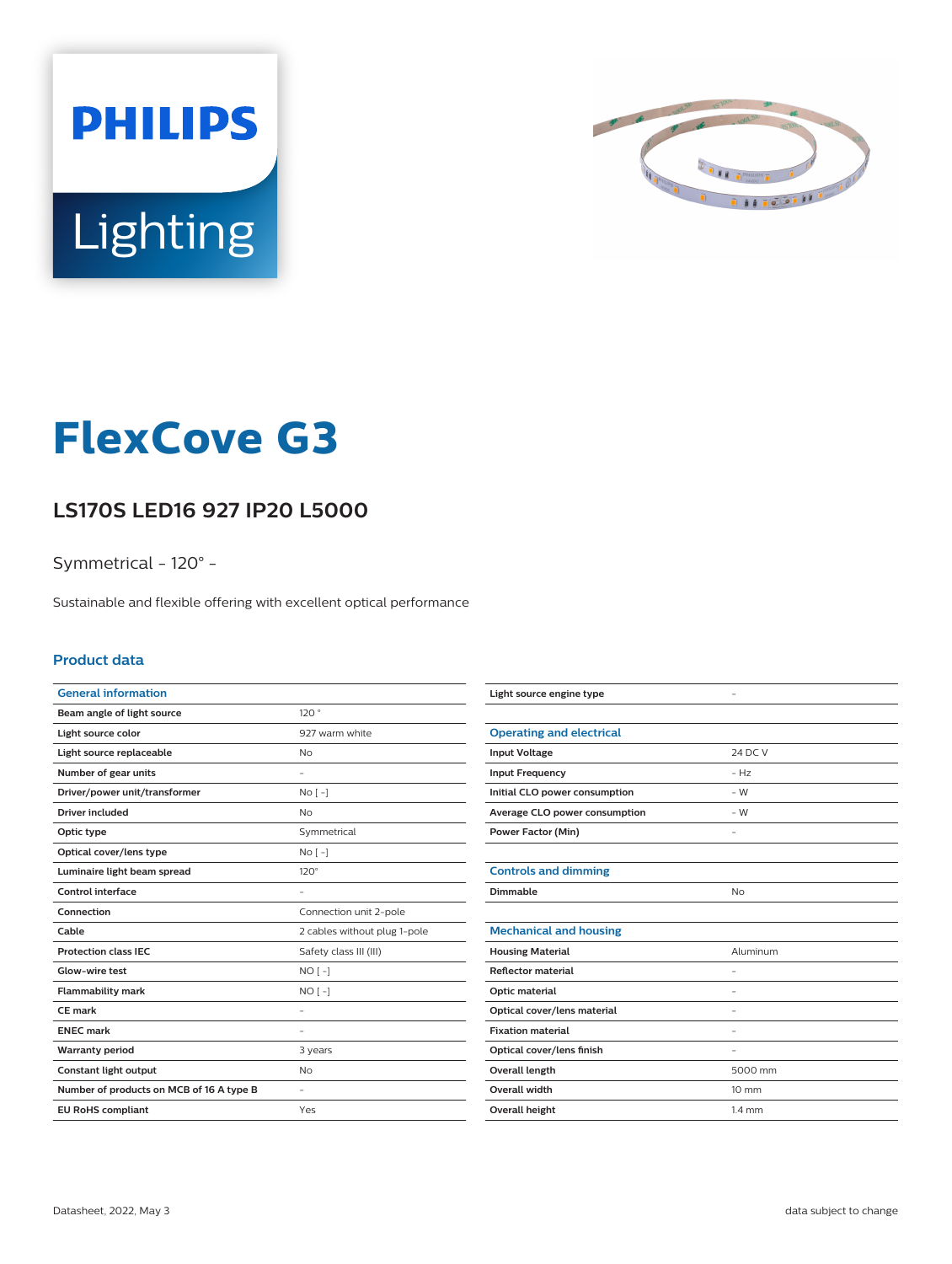



# **FlexCove G3**

## **LS170S LED16 927 IP20 L5000**

Symmetrical - 120° -

Sustainable and flexible offering with excellent optical performance

#### **Product data**

| <b>General information</b>               |                              |
|------------------------------------------|------------------------------|
| Beam angle of light source               | 120°                         |
| Light source color                       | 927 warm white               |
| Light source replaceable                 | Nο                           |
| Number of gear units                     |                              |
| Driver/power unit/transformer            | $No [-]$                     |
| Driver included                          | No                           |
| Optic type                               | Symmetrical                  |
| Optical cover/lens type                  | $No [-]$                     |
| Luminaire light beam spread              | $120^\circ$                  |
| Control interface                        |                              |
|                                          |                              |
| Connection                               | Connection unit 2-pole       |
| Cable                                    | 2 cables without plug 1-pole |
| <b>Protection class IEC</b>              | Safety class III (III)       |
| Glow-wire test                           | $NO[-]$                      |
| <b>Flammability mark</b>                 | $NO[-]$                      |
| CE mark                                  |                              |
| <b>ENEC mark</b>                         |                              |
| <b>Warranty period</b>                   | 3 years                      |
| Constant light output                    | No.                          |
| Number of products on MCB of 16 A type B |                              |

| Light source engine type        |                  |
|---------------------------------|------------------|
|                                 |                  |
| <b>Operating and electrical</b> |                  |
| <b>Input Voltage</b>            | 24 DC V          |
| <b>Input Frequency</b>          | $-Hz$            |
| Initial CLO power consumption   | $-W$             |
| Average CLO power consumption   | $-W$             |
| <b>Power Factor (Min)</b>       |                  |
|                                 |                  |
| <b>Controls and dimming</b>     |                  |
| Dimmable                        | <b>No</b>        |
|                                 |                  |
| <b>Mechanical and housing</b>   |                  |
| <b>Housing Material</b>         | Aluminum         |
| <b>Reflector material</b>       |                  |
| Optic material                  | ۰                |
| Optical cover/lens material     |                  |
| <b>Fixation material</b>        |                  |
| Optical cover/lens finish       | ٠                |
| <b>Overall length</b>           | 5000 mm          |
| Overall width                   | $10 \text{ mm}$  |
| Overall height                  | $1.4 \text{ mm}$ |
|                                 |                  |